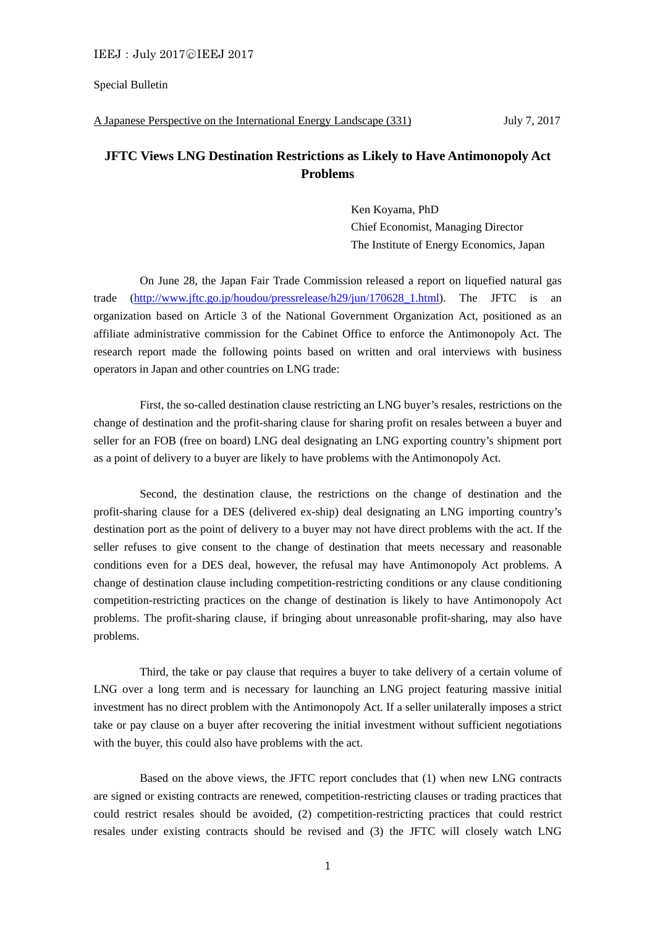Special Bulletin

## A Japanese Perspective on the International Energy Landscape (331) July 7, 2017

## **JFTC Views LNG Destination Restrictions as Likely to Have Antimonopoly Act Problems**

Ken Koyama, PhD Chief Economist, Managing Director The Institute of Energy Economics, Japan

 On June 28, the Japan Fair Trade Commission released a report on liquefied natural gas trade (http://www.jftc.go.jp/houdou/pressrelease/h29/jun/170628 1.html). The JFTC is an organization based on Article 3 of the National Government Organization Act, positioned as an affiliate administrative commission for the Cabinet Office to enforce the Antimonopoly Act. The research report made the following points based on written and oral interviews with business operators in Japan and other countries on LNG trade:

 First, the so-called destination clause restricting an LNG buyer's resales, restrictions on the change of destination and the profit-sharing clause for sharing profit on resales between a buyer and seller for an FOB (free on board) LNG deal designating an LNG exporting country's shipment port as a point of delivery to a buyer are likely to have problems with the Antimonopoly Act.

 Second, the destination clause, the restrictions on the change of destination and the profit-sharing clause for a DES (delivered ex-ship) deal designating an LNG importing country's destination port as the point of delivery to a buyer may not have direct problems with the act. If the seller refuses to give consent to the change of destination that meets necessary and reasonable conditions even for a DES deal, however, the refusal may have Antimonopoly Act problems. A change of destination clause including competition-restricting conditions or any clause conditioning competition-restricting practices on the change of destination is likely to have Antimonopoly Act problems. The profit-sharing clause, if bringing about unreasonable profit-sharing, may also have problems.

 Third, the take or pay clause that requires a buyer to take delivery of a certain volume of LNG over a long term and is necessary for launching an LNG project featuring massive initial investment has no direct problem with the Antimonopoly Act. If a seller unilaterally imposes a strict take or pay clause on a buyer after recovering the initial investment without sufficient negotiations with the buyer, this could also have problems with the act.

 Based on the above views, the JFTC report concludes that (1) when new LNG contracts are signed or existing contracts are renewed, competition-restricting clauses or trading practices that could restrict resales should be avoided, (2) competition-restricting practices that could restrict resales under existing contracts should be revised and (3) the JFTC will closely watch LNG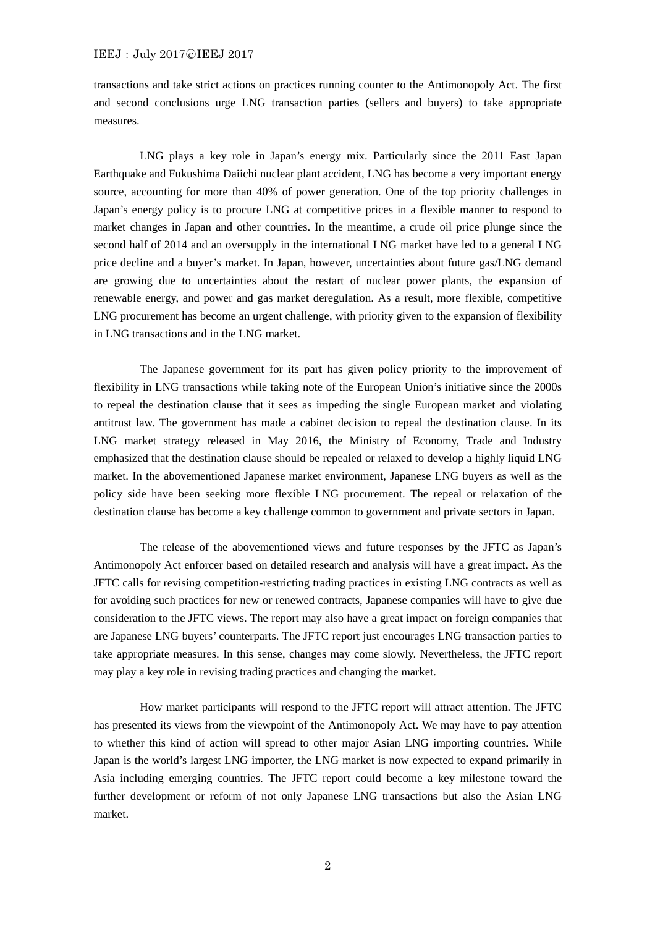## IEEJ: July 2017©IEEJ 2017

transactions and take strict actions on practices running counter to the Antimonopoly Act. The first and second conclusions urge LNG transaction parties (sellers and buyers) to take appropriate measures.

 LNG plays a key role in Japan's energy mix. Particularly since the 2011 East Japan Earthquake and Fukushima Daiichi nuclear plant accident, LNG has become a very important energy source, accounting for more than 40% of power generation. One of the top priority challenges in Japan's energy policy is to procure LNG at competitive prices in a flexible manner to respond to market changes in Japan and other countries. In the meantime, a crude oil price plunge since the second half of 2014 and an oversupply in the international LNG market have led to a general LNG price decline and a buyer's market. In Japan, however, uncertainties about future gas/LNG demand are growing due to uncertainties about the restart of nuclear power plants, the expansion of renewable energy, and power and gas market deregulation. As a result, more flexible, competitive LNG procurement has become an urgent challenge, with priority given to the expansion of flexibility in LNG transactions and in the LNG market.

 The Japanese government for its part has given policy priority to the improvement of flexibility in LNG transactions while taking note of the European Union's initiative since the 2000s to repeal the destination clause that it sees as impeding the single European market and violating antitrust law. The government has made a cabinet decision to repeal the destination clause. In its LNG market strategy released in May 2016, the Ministry of Economy, Trade and Industry emphasized that the destination clause should be repealed or relaxed to develop a highly liquid LNG market. In the abovementioned Japanese market environment, Japanese LNG buyers as well as the policy side have been seeking more flexible LNG procurement. The repeal or relaxation of the destination clause has become a key challenge common to government and private sectors in Japan.

 The release of the abovementioned views and future responses by the JFTC as Japan's Antimonopoly Act enforcer based on detailed research and analysis will have a great impact. As the JFTC calls for revising competition-restricting trading practices in existing LNG contracts as well as for avoiding such practices for new or renewed contracts, Japanese companies will have to give due consideration to the JFTC views. The report may also have a great impact on foreign companies that are Japanese LNG buyers' counterparts. The JFTC report just encourages LNG transaction parties to take appropriate measures. In this sense, changes may come slowly. Nevertheless, the JFTC report may play a key role in revising trading practices and changing the market.

 How market participants will respond to the JFTC report will attract attention. The JFTC has presented its views from the viewpoint of the Antimonopoly Act. We may have to pay attention to whether this kind of action will spread to other major Asian LNG importing countries. While Japan is the world's largest LNG importer, the LNG market is now expected to expand primarily in Asia including emerging countries. The JFTC report could become a key milestone toward the further development or reform of not only Japanese LNG transactions but also the Asian LNG market.